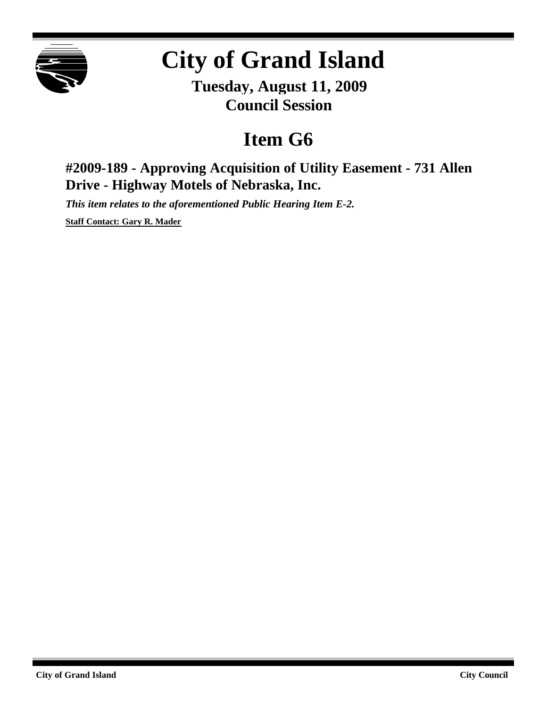

## **City of Grand Island**

**Tuesday, August 11, 2009 Council Session**

## **Item G6**

**#2009-189 - Approving Acquisition of Utility Easement - 731 Allen Drive - Highway Motels of Nebraska, Inc.**

*This item relates to the aforementioned Public Hearing Item E-2.*

**Staff Contact: Gary R. Mader**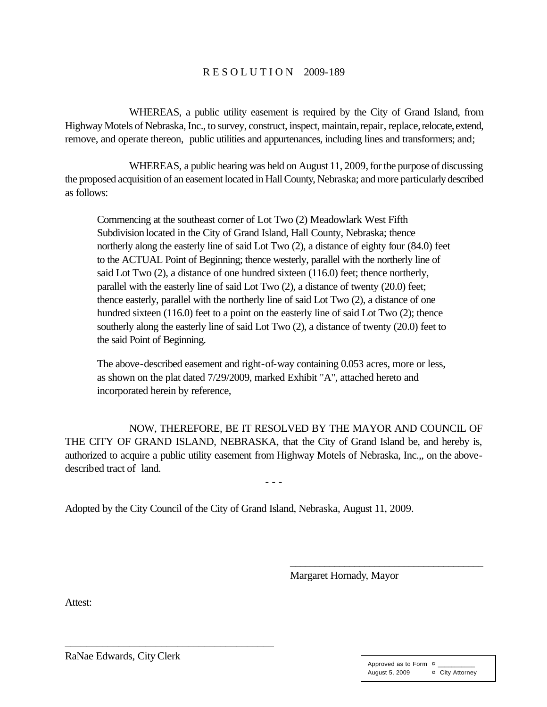## R E S O L U T I O N 2009-189

WHEREAS, a public utility easement is required by the City of Grand Island, from Highway Motels of Nebraska, Inc., to survey, construct, inspect, maintain, repair, replace, relocate, extend, remove, and operate thereon, public utilities and appurtenances, including lines and transformers; and;

WHEREAS, a public hearing was held on August 11, 2009, for the purpose of discussing the proposed acquisition of an easement located in Hall County, Nebraska; and more particularly described as follows:

Commencing at the southeast corner of Lot Two (2) Meadowlark West Fifth Subdivision located in the City of Grand Island, Hall County, Nebraska; thence northerly along the easterly line of said Lot Two (2), a distance of eighty four (84.0) feet to the ACTUAL Point of Beginning; thence westerly, parallel with the northerly line of said Lot Two (2), a distance of one hundred sixteen (116.0) feet; thence northerly, parallel with the easterly line of said Lot Two (2), a distance of twenty (20.0) feet; thence easterly, parallel with the northerly line of said Lot Two (2), a distance of one hundred sixteen (116.0) feet to a point on the easterly line of said Lot Two (2); thence southerly along the easterly line of said Lot Two (2), a distance of twenty (20.0) feet to the said Point of Beginning.

The above-described easement and right-of-way containing 0.053 acres, more or less, as shown on the plat dated 7/29/2009, marked Exhibit "A", attached hereto and incorporated herein by reference,

NOW, THEREFORE, BE IT RESOLVED BY THE MAYOR AND COUNCIL OF THE CITY OF GRAND ISLAND, NEBRASKA, that the City of Grand Island be, and hereby is, authorized to acquire a public utility easement from Highway Motels of Nebraska, Inc.,, on the abovedescribed tract of land.

- - -

Adopted by the City Council of the City of Grand Island, Nebraska, August 11, 2009.

Margaret Hornady, Mayor

\_\_\_\_\_\_\_\_\_\_\_\_\_\_\_\_\_\_\_\_\_\_\_\_\_\_\_\_\_\_\_\_\_\_\_\_\_\_\_

Attest:

RaNae Edwards, City Clerk

\_\_\_\_\_\_\_\_\_\_\_\_\_\_\_\_\_\_\_\_\_\_\_\_\_\_\_\_\_\_\_\_\_\_\_\_\_\_\_